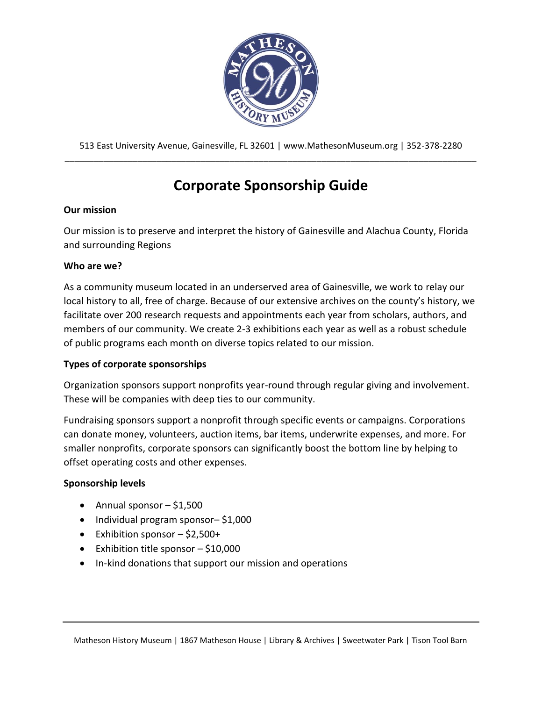

513 East University Avenue, Gainesville, FL 32601 | www.MathesonMuseum.org | 352-378-2280 \_\_\_\_\_\_\_\_\_\_\_\_\_\_\_\_\_\_\_\_\_\_\_\_\_\_\_\_\_\_\_\_\_\_\_\_\_\_\_\_\_\_\_\_\_\_\_\_\_\_\_\_\_\_\_\_\_\_\_\_\_\_\_\_\_\_\_\_\_\_\_\_\_\_\_\_\_\_\_\_\_\_\_\_\_

# **Corporate Sponsorship Guide**

## **Our mission**

Our mission is to preserve and interpret the history of Gainesville and Alachua County, Florida and surrounding Regions

## **Who are we?**

As a community museum located in an underserved area of Gainesville, we work to relay our local history to all, free of charge. Because of our extensive archives on the county's history, we facilitate over 200 research requests and appointments each year from scholars, authors, and members of our community. We create 2-3 exhibitions each year as well as a robust schedule of public programs each month on diverse topics related to our mission.

# **Types of corporate sponsorships**

Organization sponsors support nonprofits year-round through regular giving and involvement. These will be companies with deep ties to our community.

Fundraising sponsors support a nonprofit through specific events or campaigns. Corporations can donate money, volunteers, auction items, bar items, underwrite expenses, and more. For smaller nonprofits, corporate sponsors can significantly boost the bottom line by helping to offset operating costs and other expenses.

## **Sponsorship levels**

- Annual sponsor  $-$  \$1,500
- Individual program sponsor– \$1,000
- Exhibition sponsor  $-$  \$2,500+
- Exhibition title sponsor  $-$  \$10,000
- In-kind donations that support our mission and operations